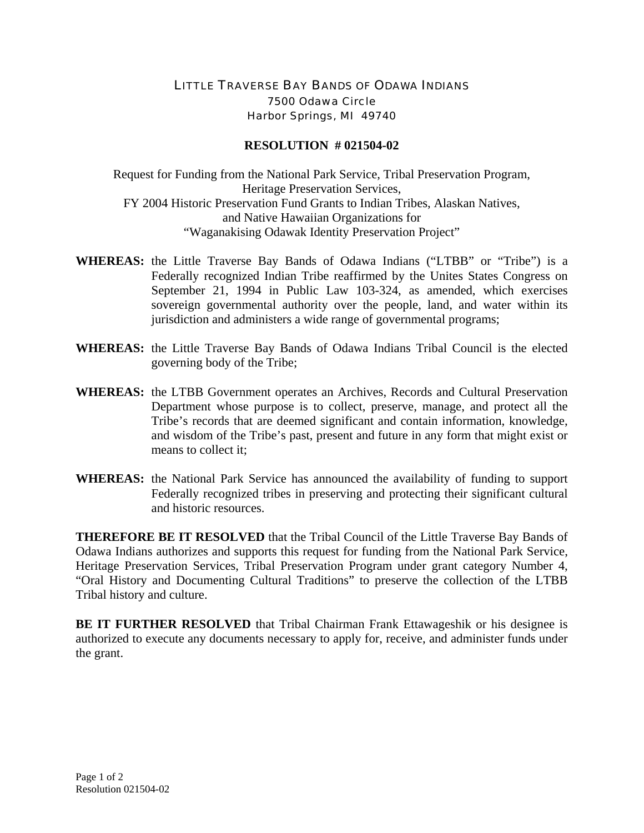## LITTLE TRAVERSE BAY BANDS OF ODAWA INDIANS 7500 Odawa Circle Harbor Springs, MI 49740

## **RESOLUTION # 021504-02**

Request for Funding from the National Park Service, Tribal Preservation Program, Heritage Preservation Services, FY 2004 Historic Preservation Fund Grants to Indian Tribes, Alaskan Natives, and Native Hawaiian Organizations for "Waganakising Odawak Identity Preservation Project"

- **WHEREAS:** the Little Traverse Bay Bands of Odawa Indians ("LTBB" or "Tribe") is a Federally recognized Indian Tribe reaffirmed by the Unites States Congress on September 21, 1994 in Public Law 103-324, as amended, which exercises sovereign governmental authority over the people, land, and water within its jurisdiction and administers a wide range of governmental programs;
- **WHEREAS:** the Little Traverse Bay Bands of Odawa Indians Tribal Council is the elected governing body of the Tribe;
- **WHEREAS:** the LTBB Government operates an Archives, Records and Cultural Preservation Department whose purpose is to collect, preserve, manage, and protect all the Tribe's records that are deemed significant and contain information, knowledge, and wisdom of the Tribe's past, present and future in any form that might exist or means to collect it;
- **WHEREAS:** the National Park Service has announced the availability of funding to support Federally recognized tribes in preserving and protecting their significant cultural and historic resources.

**THEREFORE BE IT RESOLVED** that the Tribal Council of the Little Traverse Bay Bands of Odawa Indians authorizes and supports this request for funding from the National Park Service, Heritage Preservation Services, Tribal Preservation Program under grant category Number 4, "Oral History and Documenting Cultural Traditions" to preserve the collection of the LTBB Tribal history and culture.

**BE IT FURTHER RESOLVED** that Tribal Chairman Frank Ettawageshik or his designee is authorized to execute any documents necessary to apply for, receive, and administer funds under the grant.